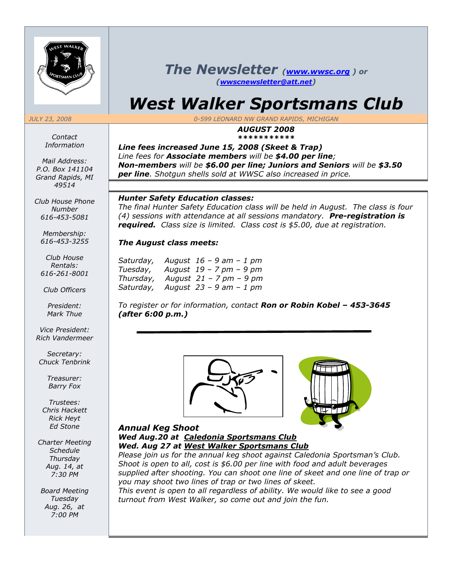

*Contact Information*

*Mail Address: P.O. Box 141104 Grand Rapids, MI 49514*

*Club House Phone Number 616-453-5081*

*Membership: 616-453-3255*

*Club House Rentals: 616-261-8001*

*Club Officers*

*President: Mark Thue*

*Vice President: Rich Vandermeer*

*Secretary: Chuck Tenbrink*

> *Treasurer: Barry Fox*

*Trustees: Chris Hackett Rick Heyt Ed Stone*

*Charter Meeting Schedule Thursday Aug. 14, at 7:30 PM*

*Board Meeting Tuesday Aug. 26, at 7:00 PM*

# *The Newsletter (www.wwsc.org ) or (wwscnewsletter@att.net)*

# *West Walker Sportsmans Club*

*JULY 23, 2008 0-599 LEONARD NW GRAND RAPIDS, MICHIGAN*

# *AUGUST 2008 \*\*\*\*\*\*\*\*\*\*\**

*Line fees increased June 15, 2008 (Skeet & Trap) Line fees for Associate members will be \$4.00 per line; Non-members will be \$6.00 per line; Juniors and Seniors will be \$3.50 per line. Shotgun shells sold at WWSC also increased in price.*

# *Hunter Safety Education classes:*

*The final Hunter Safety Education class will be held in August. The class is four (4) sessions with attendance at all sessions mandatory. Pre-registration is required. Class size is limited. Class cost is \$5.00, due at registration.*

# *The August class meets:*

| August $16 - 9$ am $- 1$ pm |
|-----------------------------|
| August $19 - 7$ pm $- 9$ pm |
| August 21 – 7 pm – 9 pm     |
| August $23 - 9$ am $- 1$ pm |
|                             |

*To register or for information, contact Ron or Robin Kobel – 453-3645 (after 6:00 p.m.)*





# *Annual Keg Shoot Wed Aug.20 at Caledonia Sportsmans Club Wed. Aug 27 at West Walker Sportsmans Club*

*Please join us for the annual keg shoot against Caledonia Sportsman's Club. Shoot is open to all, cost is \$6.00 per line with food and adult beverages supplied after shooting. You can shoot one line of skeet and one line of trap or you may shoot two lines of trap or two lines of skeet.*

*This event is open to all regardless of ability. We would like to see a good turnout from West Walker, so come out and join the fun.*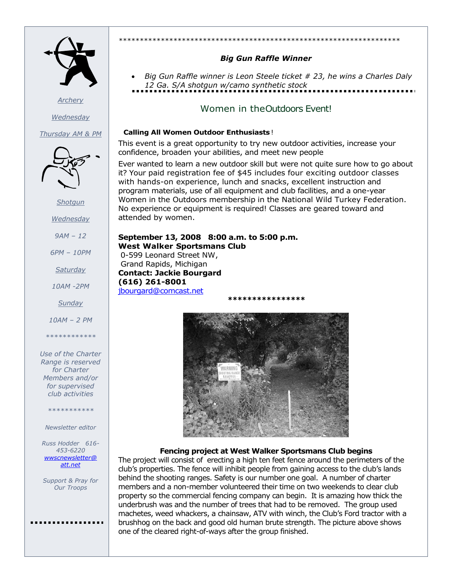

*Archery*

*Wednesday*

*Thursday AM & PM*



*Shotgun*

*Wednesday*

*9AM – 12*

*6PM – 10PM*

*Saturday*

*10AM -2PM*

*Sunday*

*10AM – 2 PM*

*\*\*\*\*\*\*\*\*\*\*\*\**

#### *Use of the Charter Range is reserved for Charter Members and/or for supervised club activities*

#### *\*\*\*\*\*\*\*\*\*\*\**

#### *Newsletter editor*

*Russ Hodder 616- 453-6220 wwscnewsletter@ att.net*

*Support & Pray for Our Troops*

#### *\*\*\*\*\*\*\*\*\*\*\*\*\*\*\*\*\*\*\*\*\*\*\*\*\*\*\*\*\*\*\*\*\*\*\*\*\*\*\*\*\*\*\*\*\*\*\*\*\*\*\*\*\*\*\*\*\*\*\*\*\*\*\*\*\*\*\**

# *Big Gun Raffle Winner*

 *Big Gun Raffle winner is Leon Steele ticket # 23, he wins a Charles Daly 12 Ga. S/A shotgun w/camo synthetic stock*

# Women in theOutdoors Event!

### **Calling All Women Outdoor Enthusiasts**!

This event is a great opportunity to try new outdoor activities, increase your confidence, broaden your abilities, and meet new people

Ever wanted to learn a new outdoor skill but were not quite sure how to go about it? Your paid registration fee of \$45 includes four exciting outdoor classes with hands-on experience, lunch and snacks, excellent instruction and program materials, use of all equipment and club facilities, and a one-year Women in the Outdoors membership in the National Wild Turkey Federation. No experience or equipment is required! Classes are geared toward and attended by women.

## **September 13, 2008 8:00 a.m. to 5:00 p.m. West Walker Sportsmans Club** 0-599 Leonard Street NW, Grand Rapids, Michigan **Contact: Jackie Bourgard (616) 261-8001**

[jbourgard@comcast.net](mailto:jbourgard@comcast.net) *\*\*\*\*\*\*\*\*\*\*\*\*\*\*\*\**



# **Fencing project at West Walker Sportsmans Club begins**

The project will consist of erecting a high ten feet fence around the perimeters of the club's properties. The fence will inhibit people from gaining access to the club's lands behind the shooting ranges. Safety is our number one goal. A number of charter members and a non-member volunteered their time on two weekends to clear club property so the commercial fencing company can begin. It is amazing how thick the underbrush was and the number of trees that had to be removed. The group used machetes, weed whackers, a chainsaw, ATV with winch, the Club's Ford tractor with a brushhog on the back and good old human brute strength. The picture above shows one of the cleared right-of-ways after the group finished.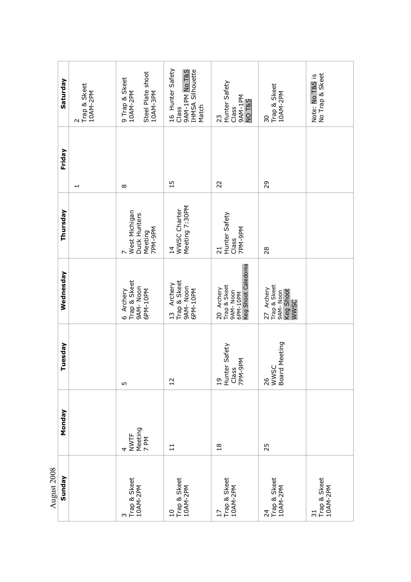|             | Saturday  | Trap & Skeet<br>10AM-2PM<br>$\sim$ | Steel Plate shoot<br>9 Trap & Skeet<br>10AM-2PM<br>10AM-3PM           | 16 Hunter Safety<br>9AM-1PM No T&S<br>IHMSA Silhouette<br>Match<br>Class | Hunter Safety<br>9AM-1PM<br>NO <sub>T&amp;S</sub><br>Class<br>23          | Trap & Skeet<br>10AM-2PM<br>30                              | No Trap & Skeet<br>Note: No T&S is          |
|-------------|-----------|------------------------------------|-----------------------------------------------------------------------|--------------------------------------------------------------------------|---------------------------------------------------------------------------|-------------------------------------------------------------|---------------------------------------------|
|             | Friday    | $\overline{\phantom{a}}$           | $\infty$                                                              | $\overline{1}$                                                           | 22                                                                        | 29                                                          |                                             |
|             | Thursday  |                                    | West Michigan<br>Duck Hunters<br>7PM-9PM<br>Meeting<br>$\overline{ }$ | Meeting 7:30PM<br>WWSC Charter<br>$\overline{1}4$                        | Hunter Safety<br>7PM-9PM<br>Class<br>$\overline{z}$                       | 28                                                          |                                             |
|             | Wednesday |                                    | Trap & Skeet<br>9AM-Noon<br>6 Archery<br>6PM-10PM                     | Trap & Skeet<br>Archery<br>9AM-Noon<br>6PM-10PM<br>13                    | Keg Shoot Caledonia<br>Trap & Skeet<br>20 Archery<br>9AM-Noon<br>6PM-10PM | Trap & Skeet<br>27 Archery<br>Keg Shoot<br>9AM-Noon<br>WWSC |                                             |
|             | Tuesday   |                                    | m                                                                     | $\overline{12}$                                                          | 19<br>Hunter Safety<br>Class<br>7PM-9PM                                   | 26<br>WWSC<br>Board Meeting                                 |                                             |
|             | Monday    |                                    | Meeting<br>7 PM<br><b>NWTF</b><br>4                                   | $\Xi$                                                                    | $\frac{8}{1}$                                                             | 25                                                          |                                             |
| August 2008 | Sunday    |                                    | Trap & Skeet<br>10AM-2PM                                              | Trap & Skeet<br>10AM-2PM<br>$\overline{10}$                              | 17<br>Trap & Skeet<br>10AM-2PM                                            | Trap & Skeet<br>10AM-2PM<br>$\overline{24}$                 | Trap & Skeet<br>10AM-2PM<br>$\overline{31}$ |